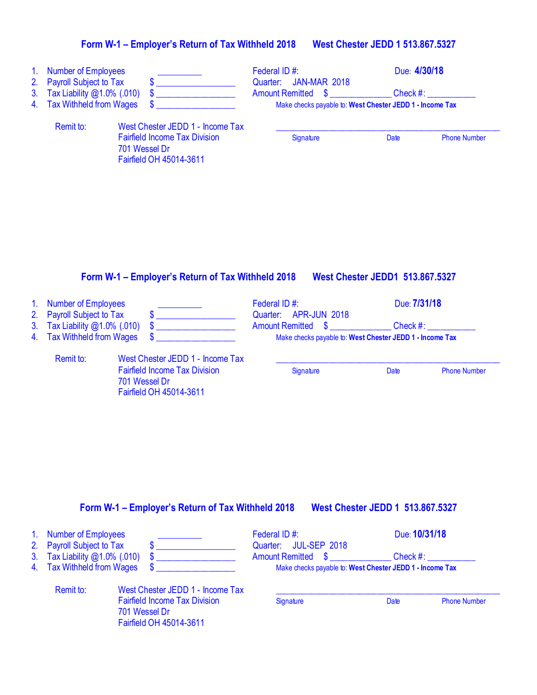# **Form W-1 – Employer's Return of Tax Withheld 2018 West Chester JEDD 1 513.867.5327**

| 1 <sub>1</sub><br>3 <sub>1</sub><br>4. | <b>Number of Employees</b><br>2. Payroll Subject to Tax<br>Tax Liability @1.0% (.010)<br><b>Tax Withheld from Wages</b> | S.<br>S                                                                                                              | Federal ID#:<br><b>JAN-MAR 2018</b><br>Quarter:<br><b>Amount Remitted \$</b><br>Make checks payable to: West Chester JEDD 1 - Income Tax | Due: 4/30/18<br>Check #: |                     |
|----------------------------------------|-------------------------------------------------------------------------------------------------------------------------|----------------------------------------------------------------------------------------------------------------------|------------------------------------------------------------------------------------------------------------------------------------------|--------------------------|---------------------|
|                                        | Remit to:                                                                                                               | West Chester JEDD 1 - Income Tax<br><b>Fairfield Income Tax Division</b><br>701 Wessel Dr<br>Fairfield OH 45014-3611 | Signature                                                                                                                                | Date                     | <b>Phone Number</b> |

### **Form W-1 – Employer's Return of Tax Withheld 2018 West Chester JEDD1 513.867.5327**

| 1. Number of Employees<br>2. Payroll Subject to Tax         |                                                                                                                      | Federal ID#:<br>Quarter: APR-JUN 2018                                                             | Due: 7/31/18 |                     |
|-------------------------------------------------------------|----------------------------------------------------------------------------------------------------------------------|---------------------------------------------------------------------------------------------------|--------------|---------------------|
| 3. Tax Liability @1.0% (.010)<br>4. Tax Withheld from Wages |                                                                                                                      | <b>Amount Remitted \$</b><br>Check #:<br>Make checks payable to: West Chester JEDD 1 - Income Tax |              |                     |
| Remit to:                                                   | West Chester JEDD 1 - Income Tax<br><b>Fairfield Income Tax Division</b><br>701 Wessel Dr<br>Fairfield OH 45014-3611 | Signature                                                                                         | Date         | <b>Phone Number</b> |

# **Form W-1 – Employer's Return of Tax Withheld 2018 West Chester JEDD 1 513.867.5327**

| 1. Number of Employees                                     |                                                                                  | Federal ID#:                                             |      | Due: 10/31/18       |
|------------------------------------------------------------|----------------------------------------------------------------------------------|----------------------------------------------------------|------|---------------------|
| 2. Payroll Subject to Tax<br>3. Tax Liability @1.0% (.010) |                                                                                  | Quarter: JUL-SEP 2018<br>Amount Remitted \$              |      | Check #: __________ |
| 4. Tax Withheld from Wages                                 |                                                                                  | Make checks payable to: West Chester JEDD 1 - Income Tax |      |                     |
| Remit to:                                                  | West Chester JEDD 1 - Income Tax                                                 |                                                          |      |                     |
|                                                            | <b>Fairfield Income Tax Division</b><br>701 Wessel Dr<br>Fairfield OH 45014-3611 | Signature                                                | Date | <b>Phone Number</b> |